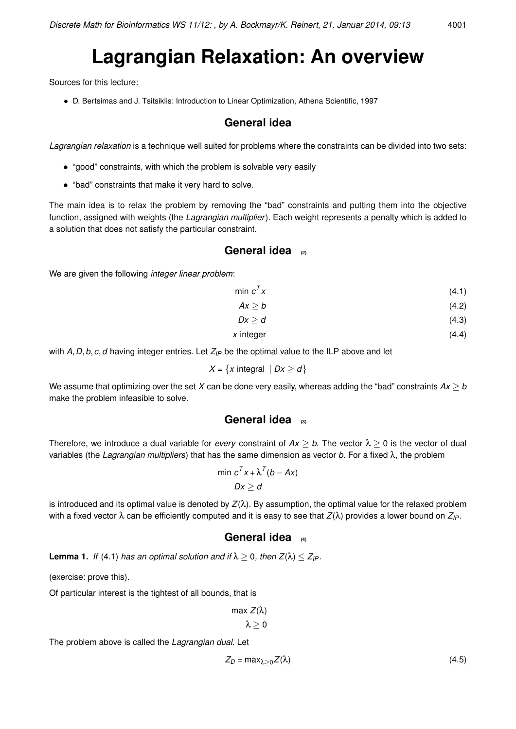# **Lagrangian Relaxation: An overview**

Sources for this lecture:

• D. Bertsimas and J. Tsitsiklis: Introduction to Linear Optimization, Athena Scientific, 1997

# **General idea**

*Lagrangian relaxation* is a technique well suited for problems where the constraints can be divided into two sets:

- "good" constraints, with which the problem is solvable very easily
- "bad" constraints that make it very hard to solve.

The main idea is to relax the problem by removing the "bad" constraints and putting them into the objective function, assigned with weights (the *Lagrangian multiplier*). Each weight represents a penalty which is added to a solution that does not satisfy the particular constraint.

### **General idea (2)**

We are given the following *integer linear problem*:

min  $c^7$ *x* (4.1)

 $Ax > b$  (4.2)

- $Dx > d$  (4.3)
- *x* integer (4.4)

with *A*, *D*, *b*, *c*, *d* having integer entries. Let *Z*<sub>*IP*</sub> be the optimal value to the ILP above and let

$$
X = \{x \text{ integral} \mid Dx \geq d\}
$$

We assume that optimizing over the set *X* can be done very easily, whereas adding the "bad" constraints  $Ax \geq b$ make the problem infeasible to solve.

#### **General idea (3)**

Therefore, we introduce a dual variable for *every* constraint of  $Ax > b$ . The vector  $\lambda > 0$  is the vector of dual variables (the *Lagrangian multipliers*) that has the same dimension as vector *b*. For a fixed λ, the problem

$$
\min c^T x + \lambda^T (b - Ax)
$$
  

$$
Dx \geq d
$$

is introduced and its optimal value is denoted by  $Z(\lambda)$ . By assumption, the optimal value for the relaxed problem with a fixed vector λ can be efficiently computed and it is easy to see that *Z*(λ) provides a lower bound on *ZIP*.

#### **General idea (4)**

**Lemma 1.** *If* (4.1) *has an optimal solution and if*  $\lambda \geq 0$ *, then*  $Z(\lambda) \leq Z_{IP}$ *.* 

(exercise: prove this).

Of particular interest is the tightest of all bounds, that is

$$
\max_{\lambda} Z(\lambda)
$$

 $\lambda > 0$ 

The problem above is called the *Lagrangian dual*. Let

$$
Z_D = \max_{\lambda \ge 0} Z(\lambda) \tag{4.5}
$$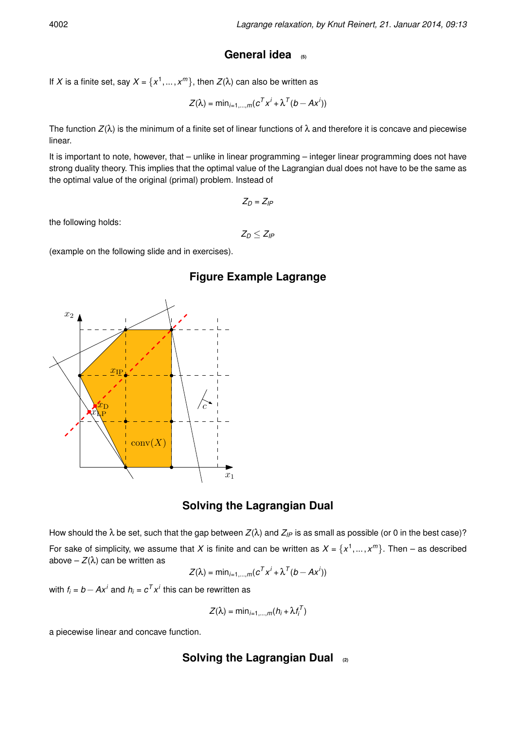# **General idea (5)**

If *X* is a finite set, say  $X$  =  $\{x^1, \dots, x^m\}$ , then  $Z(\lambda)$  can also be written as

$$
Z(\lambda) = \min_{i=1,\dots,m} (c^T x^i + \lambda^T (b - Ax^i))
$$

The function  $Z(\lambda)$  is the minimum of a finite set of linear functions of  $\lambda$  and therefore it is concave and piecewise linear.

It is important to note, however, that – unlike in linear programming – integer linear programming does not have strong duality theory. This implies that the optimal value of the Lagrangian dual does not have to be the same as the optimal value of the original (primal) problem. Instead of

 $Z_D = Z_{IP}$ 

the following holds:

 $Z_D < Z_{IP}$ 

(example on the following slide and in exercises).

# **Figure Example Lagrange**



# **Solving the Lagrangian Dual**

How should the λ be set, such that the gap between *Z*(λ) and *ZIP* is as small as possible (or 0 in the best case)? For sake of simplicity, we assume that X is finite and can be written as  $X = \{x^1, ..., x^m\}$ . Then – as described above –  $Z(\lambda)$  can be written as

$$
Z(\lambda) = \min_{i=1,\dots,m}(c^T x^i + \lambda^T (b - Ax^i))
$$

with  $f_i = b - Ax^i$  and  $h_i = c^T x^i$  this can be rewritten as

$$
Z(\lambda) = \min_{i=1,\dots,m} (h_i + \lambda f_i^T)
$$

a piecewise linear and concave function.

# **Solving the Lagrangian Dual (2)**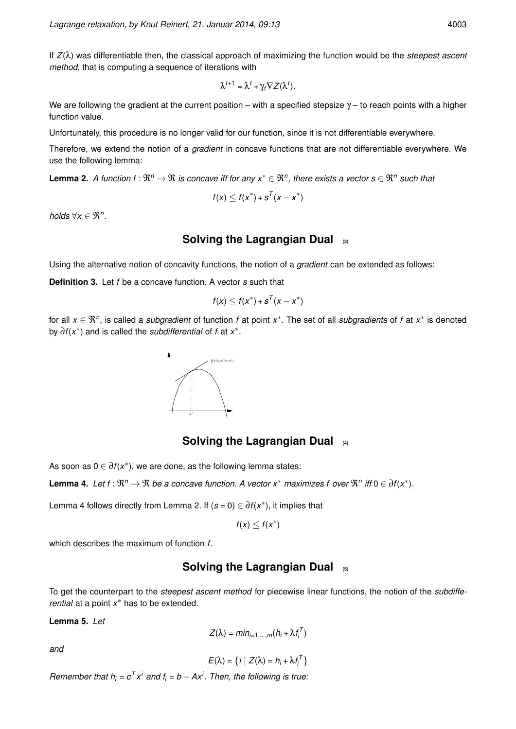If *Z*(λ) was differentiable then, the classical approach of maximizing the function would be the *steepest ascent method*, that is computing a sequence of iterations with

$$
\lambda^{t+1} = \lambda^t + \gamma_t \nabla Z(\lambda^t).
$$

We are following the gradient at the current position – with a specified stepsize  $\gamma$  – to reach points with a higher function value.

Unfortunately, this procedure is no longer valid for our function, since it is not differentiable everywhere.

Therefore, we extend the notion of a *gradient* in concave functions that are not differentiable everywhere. We use the following lemma:

**Lemma 2.** A function f :  $\Re^n \to \Re$  is concave iff for any  $x^* \in \Re^n$ , there exists a vector  $s \in \Re^n$  such that

$$
f(x) \leq f(x^*) + s^T(x - x^*)
$$

*holds*  $\forall x \in \mathfrak{R}^n$ .

#### **Solving the Lagrangian Dual (3)**

Using the alternative notion of concavity functions, the notion of a *gradient* can be extended as follows:

**Definition 3.** Let *f* be a concave function. A vector *s* such that

$$
f(x) \leq f(x^*) + s^T(x - x^*)
$$

for all  $x \in \Re^n$ , is called a *subgradient* of function *f* at point  $x^*$ . The set of all *subgradients* of *f* at  $x^*$  is denoted by ∂*f*(*x* ∗ ) and is called the *subdifferential* of *f* at *x* ∗ .



#### **Solving the Lagrangian Dual (4)**

As soon as  $0 \in \overline{\partial} f(x^*)$ , we are done, as the following lemma states:

**Lemma 4.** Let  $f : \Re^n \to \Re$  be a concave function. A vector  $x^*$  maximizes f over  $\Re^n$  iff  $0 \in \partial f(x^*)$ .

Lemma 4 follows directly from Lemma 2. If  $(s = 0) \in \partial f(x^*)$ , it implies that

$$
f(x)\leq f(x^*)
$$

which describes the maximum of function *f*.

# **Solving the Lagrangian Dual (5)**

To get the counterpart to the *steepest ascent method* for piecewise linear functions, the notion of the *subdifferential* at a point *x* <sup>∗</sup> has to be extended.

**Lemma 5.** *Let*

$$
Z(\lambda) = min_{i=1,...,m}(h_i + \lambda f_i^T)
$$

*and*

$$
E(\lambda) = \big\{ i \bigm| Z(\lambda) = h_i + \lambda f_i^T \big\}
$$

*Remember that h*<sub>*i*</sub> =  $c^T x^i$  *and f*<sub>*i*</sub> =  $b - Ax^i$ . Then, the following is true.